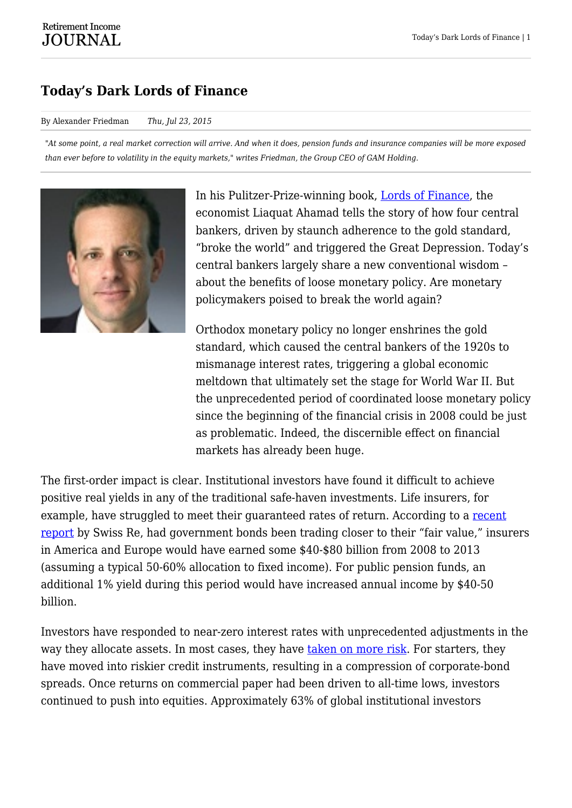## **Today's Dark Lords of Finance**

## By Alexander Friedman *Thu, Jul 23, 2015*

*"At some point, a real market correction will arrive. And when it does, pension funds and insurance companies will be more exposed than ever before to volatility in the equity markets," writes Friedman, the Group CEO of GAM Holding.*



In his Pulitzer-Prize-winning book, [Lords of Finance,](http://www.penguin.com/book/lords-of-finance-by-liaquat-ahamed/9780143116806) the economist Liaquat Ahamad tells the story of how four central bankers, driven by staunch adherence to the gold standard, "broke the world" and triggered the Great Depression. Today's central bankers largely share a new conventional wisdom – about the benefits of loose monetary policy. Are monetary policymakers poised to break the world again?

Orthodox monetary policy no longer enshrines the gold standard, which caused the central bankers of the 1920s to mismanage interest rates, triggering a global economic meltdown that ultimately set the stage for World War II. But the unprecedented period of coordinated loose monetary policy since the beginning of the financial crisis in 2008 could be just as problematic. Indeed, the discernible effect on financial markets has already been huge.

The first-order impact is clear. Institutional investors have found it difficult to achieve positive real yields in any of the traditional safe-haven investments. Life insurers, for example, have struggled to meet their guaranteed rates of return. According to a [recent](http://media.swissre.com/documents/Financial_Repression_pub_web.pdf) [report](http://media.swissre.com/documents/Financial_Repression_pub_web.pdf) by Swiss Re, had government bonds been trading closer to their "fair value," insurers in America and Europe would have earned some \$40-\$80 billion from 2008 to 2013 (assuming a typical 50-60% allocation to fixed income). For public pension funds, an additional 1% yield during this period would have increased annual income by \$40-50 billion.

Investors have responded to near-zero interest rates with unprecedented adjustments in the way they allocate assets. In most cases, they have [taken on more risk](http://www.project-syndicate.org/commentary/fed-low-interest-rates-by-martin-feldstein-2015-04). For starters, they have moved into riskier credit instruments, resulting in a compression of corporate-bond spreads. Once returns on commercial paper had been driven to all-time lows, investors continued to push into equities. Approximately 63% of global institutional investors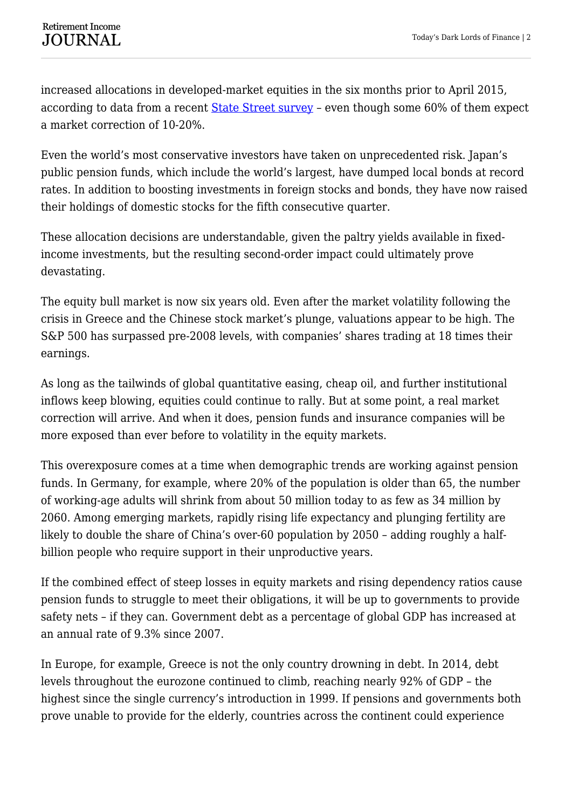increased allocations in developed-market equities in the six months prior to April 2015, according to data from a recent [State Street survey](http://newsroom.statestreet.com/press-release/corporate/pressure-perform-state-street-global-advisors-research-finds-contradictions-) - even though some 60% of them expect a market correction of 10-20%.

Even the world's most conservative investors have taken on unprecedented risk. Japan's public pension funds, which include the world's largest, have dumped local bonds at record rates. In addition to boosting investments in foreign stocks and bonds, they have now raised their holdings of domestic stocks for the fifth consecutive quarter.

These allocation decisions are understandable, given the paltry yields available in fixedincome investments, but the resulting second-order impact could ultimately prove devastating.

The equity bull market is now six years old. Even after the market volatility following the crisis in Greece and the Chinese stock market's plunge, valuations appear to be high. The S&P 500 has surpassed pre-2008 levels, with companies' shares trading at 18 times their earnings.

As long as the tailwinds of global quantitative easing, cheap oil, and further institutional inflows keep blowing, equities could continue to rally. But at some point, a real market correction will arrive. And when it does, pension funds and insurance companies will be more exposed than ever before to volatility in the equity markets.

This overexposure comes at a time when demographic trends are working against pension funds. In Germany, for example, where 20% of the population is older than 65, the number of working-age adults will shrink from about 50 million today to as few as 34 million by 2060. Among emerging markets, rapidly rising life expectancy and plunging fertility are likely to double the share of China's over-60 population by 2050 – adding roughly a halfbillion people who require support in their unproductive years.

If the combined effect of steep losses in equity markets and rising dependency ratios cause pension funds to struggle to meet their obligations, it will be up to governments to provide safety nets – if they can. Government debt as a percentage of global GDP has increased at an annual rate of 9.3% since 2007.

In Europe, for example, Greece is not the only country drowning in debt. In 2014, debt levels throughout the eurozone continued to climb, reaching nearly 92% of GDP – the highest since the single currency's introduction in 1999. If pensions and governments both prove unable to provide for the elderly, countries across the continent could experience